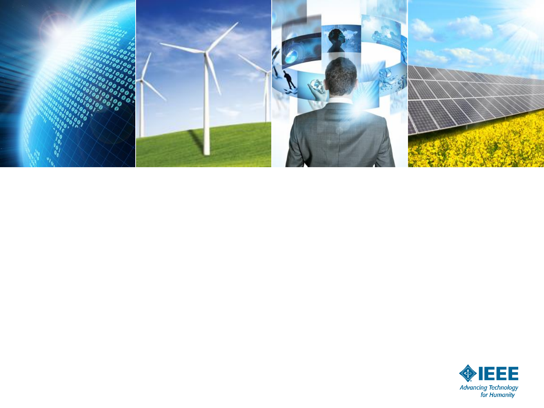

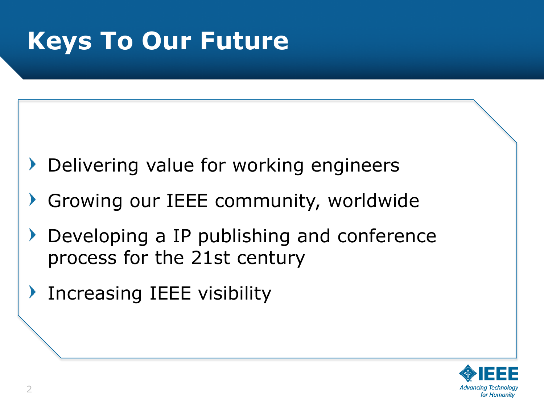## **Keys To Our Future**

- Delivering value for working engineers
- Growing our IEEE community, worldwide
- Developing a IP publishing and conference process for the 21st century
- **Increasing IEEE visibility**

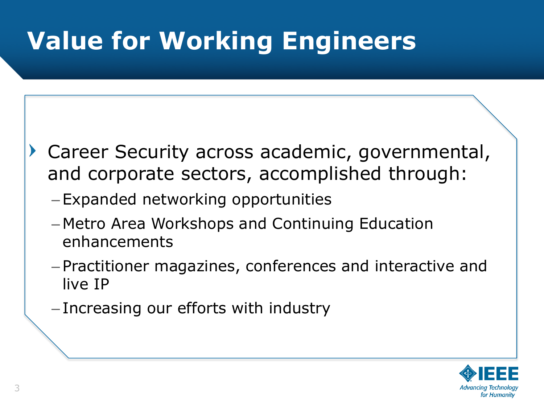# **Value for Working Engineers**

- Career Security across academic, governmental, and corporate sectors, accomplished through:
	- Expanded networking opportunities
	- Metro Area Workshops and Continuing Education enhancements
	- Practitioner magazines, conferences and interactive and live IP
	- Increasing our efforts with industry

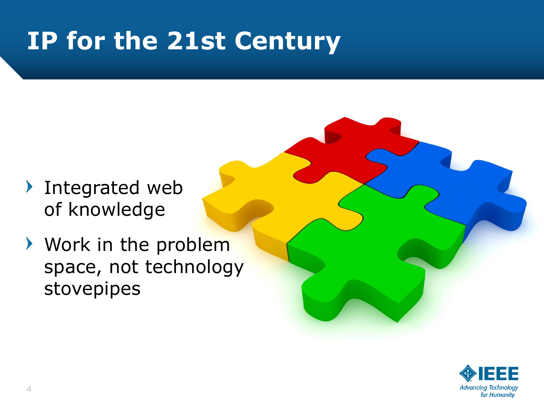## **IP for the 21st Century**

- **Integrated web** of knowledge
- Work in the problem space, not technology stovepipes

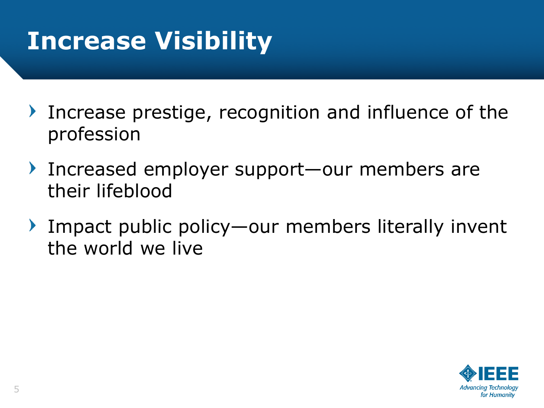### **Increase Visibility**

- Increase prestige, recognition and influence of the profession
- ▶ Increased employer support—our members are their lifeblood
- Impact public policy—our members literally invent  $\blacktriangleright$ the world we live

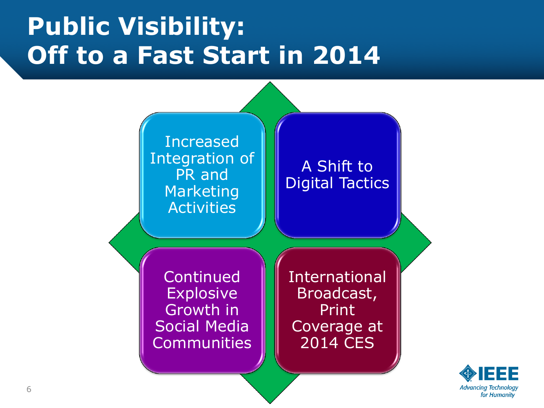### **Public Visibility: Off to a Fast Start in 2014**



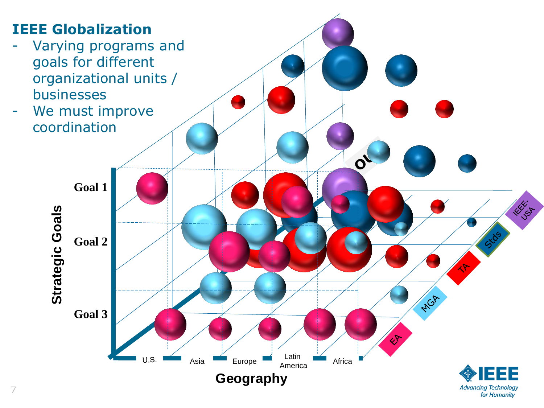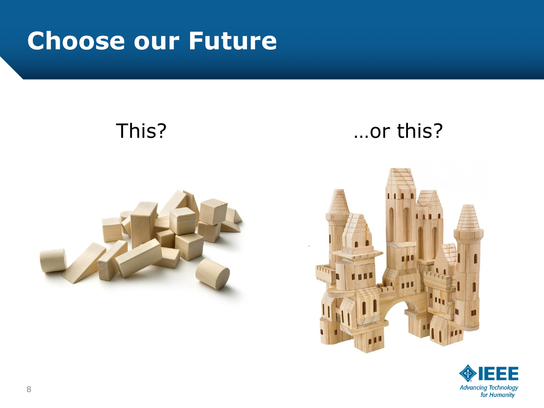### **Choose our Future**



### This? …or this?



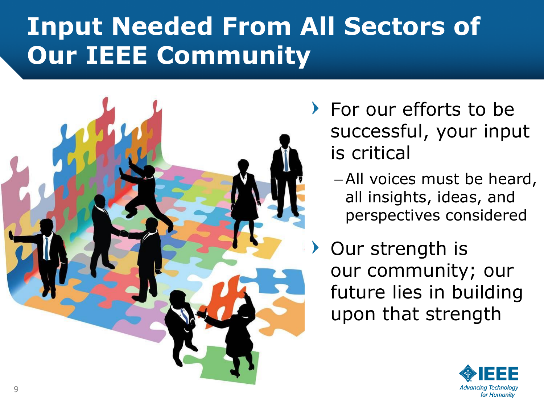## **Input Needed From All Sectors of Our IEEE Community**



- For our efforts to be successful, your input is critical
	- –All voices must be heard, all insights, ideas, and perspectives considered
- Our strength is our community; our future lies in building upon that strength

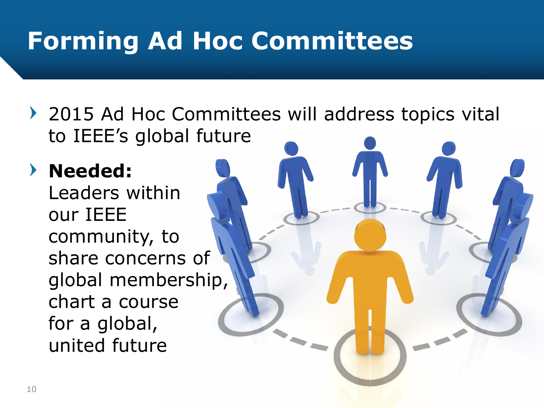## **Forming Ad Hoc Committees**

▶ 2015 Ad Hoc Committees will address topics vital to IEEE's global future

### **Needed:**

Leaders within our IEEE community, to share concerns of global membership, chart a course for a global, united future